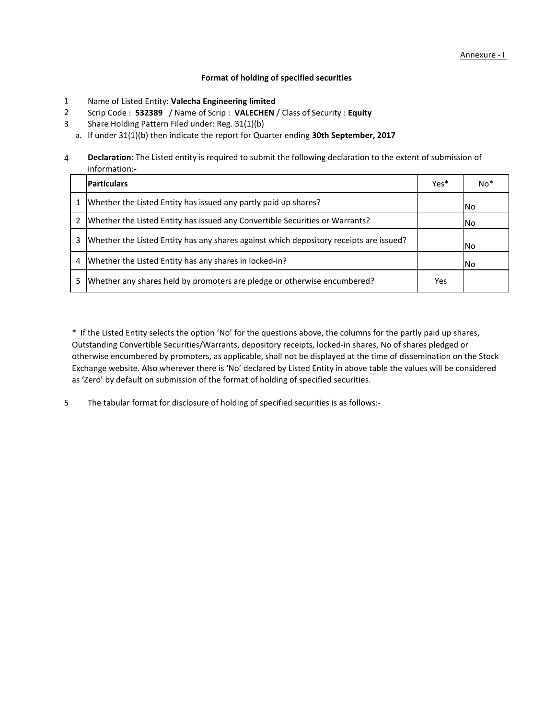# **Format of holding of specified securities**

- Name of Listed Entity: **Valecha Engineering limited** 1
- Scrip Code : **532389** / Name of Scrip : **VALECHEN** / Class of Security : **Equity** 2
- Share Holding Pattern Filed under: Reg. 31(1)(b) 3
	- a. If under 31(1)(b) then indicate the report for Quarter ending **30th September, 2017**

4 **Declaration**: The Listed entity is required to submit the following declaration to the extent of submission of information:-

|   | <b>Particulars</b>                                                                     | Yes* | $No*$ |
|---|----------------------------------------------------------------------------------------|------|-------|
|   | Whether the Listed Entity has issued any partly paid up shares?                        |      | INo.  |
|   | Whether the Listed Entity has issued any Convertible Securities or Warrants?           |      | INo.  |
| 3 | Whether the Listed Entity has any shares against which depository receipts are issued? |      | INo.  |
| 4 | Whether the Listed Entity has any shares in locked-in?                                 |      | l No  |
| 5 | Whether any shares held by promoters are pledge or otherwise encumbered?               | Yes  |       |

\* If the Listed Entity selects the option 'No' for the questions above, the columns for the partly paid up shares, Outstanding Convertible Securities/Warrants, depository receipts, locked-in shares, No of shares pledged or otherwise encumbered by promoters, as applicable, shall not be displayed at the time of dissemination on the Stock Exchange website. Also wherever there is 'No' declared by Listed Entity in above table the values will be considered as 'Zero' by default on submission of the format of holding of specified securities.

The tabular format for disclosure of holding of specified securities is as follows:- 5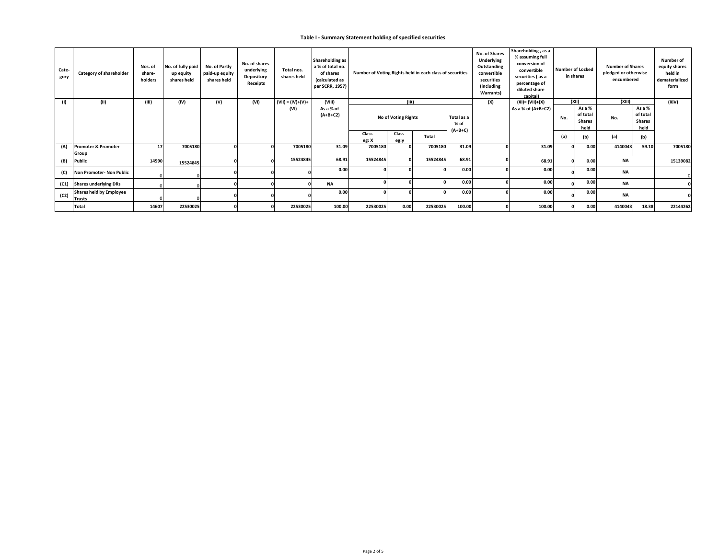## **Table I - Summary Statement holding of specified securities**

| Cate-<br>gory | Category of shareholder                         | Nos. of<br>share-<br>holders | No. of fully paid<br>up equity<br>shares held | No. of Partly<br>paid-up equity<br>shares held | No. of shares<br>underlying<br><b>Depository</b><br>Receipts | Total nos.<br>shares held | Shareholding as<br>a % of total no.<br>of shares<br>(calculated as<br>per SCRR, 1957) | Number of Voting Rights held in each class of securities |                            |          |                    | No. of Shares<br>Underlying<br>Outstanding<br>convertible<br>securities<br>(including<br>Warrants) | Shareholding, as a<br>% assuming full<br>conversion of<br>convertible<br>securities (as a<br>percentage of<br>diluted share<br>capital) |     | <b>Number of Locked</b><br>in shares        | <b>Number of Shares</b><br>pledged or otherwise<br>encumbered |                                             | <b>Number of</b><br>equity shares<br>held in<br>dematerialized<br>form |
|---------------|-------------------------------------------------|------------------------------|-----------------------------------------------|------------------------------------------------|--------------------------------------------------------------|---------------------------|---------------------------------------------------------------------------------------|----------------------------------------------------------|----------------------------|----------|--------------------|----------------------------------------------------------------------------------------------------|-----------------------------------------------------------------------------------------------------------------------------------------|-----|---------------------------------------------|---------------------------------------------------------------|---------------------------------------------|------------------------------------------------------------------------|
| (1)           | (II)                                            | (III)                        | (IV)                                          | (V)                                            | (VI)                                                         | $(VII) = (IV)+(V)+$       | (VIII)                                                                                |                                                          | (IX)                       |          |                    | (X)                                                                                                | $(XI) = (VII)+(X)$                                                                                                                      |     | (XII)                                       | (XIII)                                                        | (XIV)                                       |                                                                        |
|               |                                                 |                              |                                               |                                                |                                                              | (VI)                      | As a % of<br>$(A+B+C2)$                                                               |                                                          | <b>No of Voting Rights</b> |          | Total as a<br>% of |                                                                                                    | As a % of (A+B+C2)                                                                                                                      | No. | As a %<br>of total<br><b>Shares</b><br>held | No.                                                           | As a %<br>of total<br><b>Shares</b><br>held |                                                                        |
|               |                                                 |                              |                                               |                                                |                                                              |                           |                                                                                       | Class<br>eg: X                                           | Class<br>eg:y              | Total    | $(A+B+C)$          |                                                                                                    |                                                                                                                                         | (a) | (b)                                         | (a)                                                           | (b)                                         |                                                                        |
| (A)           | Promoter & Promoter<br>Group                    | 17                           | 7005180                                       |                                                |                                                              | 7005180                   | 31.09                                                                                 | 7005180                                                  |                            | 7005180  | 31.09              |                                                                                                    | 31.09                                                                                                                                   |     | 0.00                                        | 4140043                                                       | 59.10                                       | 7005180                                                                |
| (B)           | <b>Public</b>                                   | 14590                        | 15524845                                      |                                                |                                                              | 15524845                  | 68.91                                                                                 | 15524845                                                 |                            | 15524845 | 68.91              |                                                                                                    | 68.91                                                                                                                                   |     | 0.00                                        | <b>NA</b>                                                     |                                             | 15139082                                                               |
| (C)           | Non Promoter- Non Public                        |                              |                                               |                                                |                                                              |                           | 0.00                                                                                  |                                                          |                            |          | 0.00               |                                                                                                    | 0.00                                                                                                                                    |     | 0.00                                        | <b>NA</b>                                                     |                                             |                                                                        |
| (C1)          | <b>Shares underlying DRs</b>                    |                              |                                               |                                                |                                                              |                           | <b>NA</b>                                                                             |                                                          |                            |          | 0.00               |                                                                                                    | 0.00                                                                                                                                    |     | 0.00                                        | <b>NA</b>                                                     |                                             |                                                                        |
| (C2)          | <b>Shares held by Employee</b><br><b>Trusts</b> |                              |                                               |                                                |                                                              |                           | 0.00                                                                                  |                                                          |                            |          | 0.00               |                                                                                                    | 0.00                                                                                                                                    |     | 0.00                                        | <b>NA</b>                                                     |                                             |                                                                        |
|               | <b>Total</b>                                    | 14607                        | 22530025                                      |                                                | $\sqrt{2}$                                                   | 22530025                  | 100.00                                                                                | 22530025                                                 | 0.00                       | 22530025 | 100.00             |                                                                                                    | 100.00                                                                                                                                  |     | 0.00                                        | 4140043                                                       | 18.38                                       | 22144262                                                               |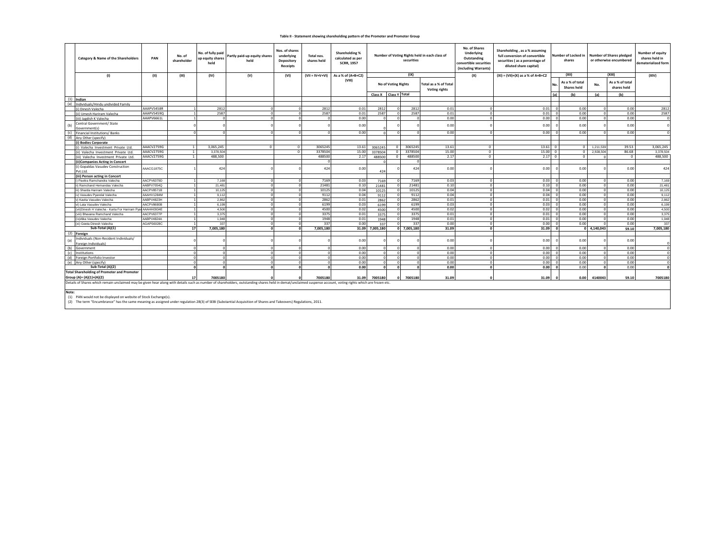#### **Table II - Statement showing shareholding pattern of the Promoter and Promoter Group**

| Category & Name of the Shareholders                                                                                                                                                                                                                                                       | PAN               | No. of<br>shareholder | No. of fully paid<br>up equity shares<br>held | Partly paid-up equity shares<br>held | Nos. of shares<br>underlying<br>Depository<br>Receipts | Total nos.<br>shares held | Shareholding %<br>calculated as per<br><b>SCRR, 1957</b> | Number of Voting Rights held in each class of<br>securities |                            |             |                                        | No. of Shares<br>Shareholding, as a % assuming<br><b>Underlying</b><br>full conversion of convertible<br>Outstanding<br>securities (as a percentage of<br>convertible securities<br>diluted share capital)<br>(including Warrants) |                                     | Number of Locked in<br>shares |                                | <b>Number of Shares pledged</b><br>or otherwise encumbered |                                | <b>Number of equity</b><br>shares held in<br>dematerialized form |
|-------------------------------------------------------------------------------------------------------------------------------------------------------------------------------------------------------------------------------------------------------------------------------------------|-------------------|-----------------------|-----------------------------------------------|--------------------------------------|--------------------------------------------------------|---------------------------|----------------------------------------------------------|-------------------------------------------------------------|----------------------------|-------------|----------------------------------------|------------------------------------------------------------------------------------------------------------------------------------------------------------------------------------------------------------------------------------|-------------------------------------|-------------------------------|--------------------------------|------------------------------------------------------------|--------------------------------|------------------------------------------------------------------|
| (1)                                                                                                                                                                                                                                                                                       | (II)              | (III)                 | (IV)                                          | (V)                                  | (VI)                                                   |                           | $(VII = IV+V+VI)$ As a % of $(A+B+C2)$                   |                                                             |                            | (IX)        |                                        | (X)                                                                                                                                                                                                                                | $(XI) = (VII)+(X)$ as a % of A+B+C2 |                               | (XII)                          |                                                            | (XIII)                         | (XIV)                                                            |
|                                                                                                                                                                                                                                                                                           |                   |                       |                                               |                                      |                                                        |                           | (VIII)                                                   |                                                             | <b>No of Voting Rights</b> |             | Total as a % of Total<br>Voting rights |                                                                                                                                                                                                                                    |                                     |                               | As a % of total<br>Shares held | No.                                                        | As a % of total<br>shares held |                                                                  |
|                                                                                                                                                                                                                                                                                           |                   |                       |                                               |                                      |                                                        |                           |                                                          |                                                             | Class X Class Y Total      |             |                                        |                                                                                                                                                                                                                                    |                                     | (a)                           | (b)                            | (a)                                                        | (b)                            |                                                                  |
| $(1)$ Indian                                                                                                                                                                                                                                                                              |                   |                       |                                               |                                      |                                                        |                           |                                                          |                                                             |                            |             |                                        |                                                                                                                                                                                                                                    |                                     |                               |                                |                                                            |                                |                                                                  |
| (a)<br>Individuals/Hindu undivided Family                                                                                                                                                                                                                                                 |                   |                       |                                               |                                      |                                                        |                           |                                                          |                                                             |                            |             |                                        |                                                                                                                                                                                                                                    |                                     |                               |                                |                                                            |                                |                                                                  |
| (i) Dinesh Valecha                                                                                                                                                                                                                                                                        | AAAPV5458R        |                       | 2812                                          |                                      |                                                        | 2812                      | 0.01                                                     | 2812                                                        | $\circ$                    | 2812        | 0.01                                   | $\Omega$                                                                                                                                                                                                                           | 0.01                                | $\sqrt{2}$                    | 0.00                           |                                                            | 0.00                           | 2812                                                             |
| (ii) Umesh Hariram Valecha                                                                                                                                                                                                                                                                | AAAPV5459Q        | 1                     | 2587                                          | $\Omega$                             |                                                        | 2587                      | 0.01                                                     | 2587                                                        | $\circ$                    | 2587        | 0.01                                   | $\Omega$                                                                                                                                                                                                                           | 0.01                                |                               | 0.00                           | $\Omega$                                                   | 0.00                           | 2587                                                             |
| (iii) Jagdish K Valecha                                                                                                                                                                                                                                                                   | AAAPV6661L        | 1                     |                                               | $\Omega$                             |                                                        | $\Omega$                  | 0.00                                                     | $\Omega$                                                    | $\circ$                    | $\Omega$    | 0.00                                   | $\circ$                                                                                                                                                                                                                            | 0.00                                |                               | 0.00                           | $\sqrt{2}$                                                 | 0.00                           | $\overline{0}$                                                   |
| Central Government/ State                                                                                                                                                                                                                                                                 |                   |                       |                                               |                                      |                                                        |                           |                                                          |                                                             |                            |             |                                        |                                                                                                                                                                                                                                    |                                     |                               |                                |                                                            |                                | $\Omega$                                                         |
| (b)<br>Government(s)                                                                                                                                                                                                                                                                      |                   |                       |                                               |                                      |                                                        |                           | 0.00                                                     |                                                             |                            |             | 0.00                                   |                                                                                                                                                                                                                                    | 0.00                                |                               | 0.00                           |                                                            | 0.00                           |                                                                  |
| (c)<br>Financial Institutions/Banks                                                                                                                                                                                                                                                       |                   |                       |                                               | $\Omega$                             |                                                        | $\Omega$                  | 0.00                                                     | n.                                                          | $\Omega$                   | $\Omega$    | 0.00                                   | $\Omega$                                                                                                                                                                                                                           | 0.00                                |                               | 0.00                           |                                                            | 0.00                           |                                                                  |
| (d) Any Other (specify)                                                                                                                                                                                                                                                                   |                   |                       |                                               |                                      |                                                        |                           |                                                          |                                                             |                            |             |                                        |                                                                                                                                                                                                                                    |                                     |                               |                                |                                                            |                                |                                                                  |
| (i) Bodies Corporate                                                                                                                                                                                                                                                                      |                   |                       |                                               |                                      |                                                        |                           |                                                          |                                                             |                            |             |                                        |                                                                                                                                                                                                                                    |                                     |                               |                                |                                                            |                                |                                                                  |
| (i) Valecha Investment Private Ltd.                                                                                                                                                                                                                                                       | AAACV2759G        |                       | 3.065.245                                     | $\Omega$                             | $\Omega$                                               | 3065245                   | 13.61                                                    | 3065245                                                     | $\circ$                    | 3065245     | 13.61                                  | $^{\circ}$                                                                                                                                                                                                                         | 13.61                               | $\Omega$                      | $\circ$                        | 1.211.539                                                  | 39.53                          | 3.065.245                                                        |
| (ii) Valecha Investment Private Ltd.                                                                                                                                                                                                                                                      | AAACV2759G        |                       | 3,378,504                                     |                                      |                                                        | 3378504                   | 15.00                                                    | 3378504                                                     | $\circ$                    | 3378504     | 15.00                                  | $\circ$                                                                                                                                                                                                                            | 15.00                               | $\Omega$                      | $\circ$                        | 2,928,504                                                  | 86.68                          | 3,378,504                                                        |
| (iii) Valecha Investment Private Ltd.                                                                                                                                                                                                                                                     | AAACV2759G        |                       | 488,500                                       |                                      |                                                        | 488500                    | 2.17                                                     | 488500                                                      | $\circ$                    | 488500      | 2.17                                   | $\circ$                                                                                                                                                                                                                            | 2.17                                | $\overline{0}$                | $\circ$                        |                                                            | $\Omega$                       | 488,500                                                          |
| (ii)Companies Acting in Concert                                                                                                                                                                                                                                                           |                   |                       |                                               |                                      |                                                        | $\Omega$                  |                                                          | $\Omega$                                                    |                            | $\Omega$    |                                        |                                                                                                                                                                                                                                    |                                     |                               |                                |                                                            |                                |                                                                  |
| (i) Gopaldas Vasudev Construction<br>Pvt.Ltd.                                                                                                                                                                                                                                             | AAACG1875C        |                       | 424                                           |                                      |                                                        | 424                       | 0.00                                                     | 424                                                         |                            | 424         | 0.00                                   |                                                                                                                                                                                                                                    | 0.00                                |                               | 0.00                           |                                                            | 0.00                           | 424                                                              |
| (iii) Person acting in Concert                                                                                                                                                                                                                                                            |                   |                       |                                               |                                      |                                                        |                           |                                                          |                                                             |                            |             |                                        |                                                                                                                                                                                                                                    |                                     |                               |                                |                                                            |                                |                                                                  |
| Pavitra Ramchandra Valecha                                                                                                                                                                                                                                                                | AACPV6379D        |                       | 7,169                                         | $\Omega$                             |                                                        | 7169                      | 0.03                                                     | 7169                                                        | $\circ$                    | 7169        | 0.03                                   | $\Omega$                                                                                                                                                                                                                           | 0.03                                |                               | 0.00                           |                                                            | 0.00                           | 7,169                                                            |
| ii) Ramchand Hemandas Valecha                                                                                                                                                                                                                                                             | AABPV7054Q        | 1                     | 21,481                                        | $\Omega$                             |                                                        | 21481                     | 0.10                                                     | 21481                                                       | $\circ$                    | 21481       | 0.10                                   | $\Omega$                                                                                                                                                                                                                           | 0.10                                |                               | 0.00                           | $\Omega$                                                   | 0.00                           | 21,481                                                           |
| iii) Sharda Hariram Valecha                                                                                                                                                                                                                                                               | AACPV8571B        |                       | 10.125                                        | $\Omega$                             |                                                        | 10125                     | 0.04                                                     | 10125                                                       | $\circ$                    | 10125       | 0.04                                   | $\circ$                                                                                                                                                                                                                            | 0.04                                |                               | 0.00                           | $\Omega$                                                   | 0.00                           | 10,125                                                           |
| iv) Vasudev Pvarelal Valecha                                                                                                                                                                                                                                                              | AAAHV1284M        |                       | 9.112                                         | $\Omega$                             |                                                        | 9112                      | 0.04                                                     | 9112                                                        | $\circ$                    | 9112        | 0.04                                   | $\circ$                                                                                                                                                                                                                            | 0.04                                |                               | 0.00                           |                                                            | 0.00                           | 9,112                                                            |
| v) Kavita Vasudev Valecha                                                                                                                                                                                                                                                                 | AABPV4823H        |                       | 2.862                                         | $\Omega$                             |                                                        | 2862                      | 0.01                                                     | 2862                                                        | $\circ$                    | 2862        | 0.01                                   | $\circ$                                                                                                                                                                                                                            | 0.01                                |                               | 0.00                           | $\Omega$                                                   | 0.00                           | 2,862                                                            |
| vi) Lata Vasudev Valecha                                                                                                                                                                                                                                                                  | AACPV8690B        | 1                     | 6,199                                         | $\Omega$                             | $\Omega$                                               | 6199                      | 0.03                                                     | 6199                                                        | $\circ$                    | 6199        | 0.03                                   | $\Omega$                                                                                                                                                                                                                           | 0.03                                | $\Omega$                      | 0.00                           | $\Omega$                                                   | 0.00                           | 6,199                                                            |
| (vii)Dinesh H Valecha - Karta For Hariram Pvan AAAHH0934E                                                                                                                                                                                                                                 |                   | $\mathbf{1}$          | 4.500                                         | $\Omega$                             |                                                        | 4500                      | 0.02                                                     | 4500                                                        | $\circ$                    | 4500        | 0.02                                   | $\circ$                                                                                                                                                                                                                            | 0.02                                |                               | 0.00                           | $\Omega$                                                   | 0.00                           | 4,500                                                            |
| (viii) Bhavana Ramchand Valecha                                                                                                                                                                                                                                                           | ACPV6377P         |                       | 3,375                                         |                                      |                                                        | 3375                      | 0.01                                                     | 3375                                                        | $\circ$                    | 3375        | 0.01                                   | $\Omega$                                                                                                                                                                                                                           | 0.01                                |                               | 0.00                           |                                                            | 0.00                           | 3,375                                                            |
| (ix)Alka Vasudev Valecha                                                                                                                                                                                                                                                                  | AABPV4824A        |                       | 1.948                                         | $\Omega$                             |                                                        | 1948                      | 0.01                                                     | 1948                                                        | $\circ$                    | 1948        | 0.01                                   | $\Omega$                                                                                                                                                                                                                           | 0.01                                |                               | 0.00                           |                                                            | 0.00                           | 1,948                                                            |
| (xi) Geeta Dinesh Valecha<br>Sub-Total (A)(1)                                                                                                                                                                                                                                             | <b>AGAPS6028C</b> |                       | 337                                           | $\sqrt{2}$<br>$\sqrt{2}$             |                                                        | 337                       | 0.00                                                     | 337                                                         | $\circ$                    | 337         | 0.00                                   | $\Omega$                                                                                                                                                                                                                           | 0.00                                |                               | 0.00                           |                                                            | 0.00                           | 337                                                              |
|                                                                                                                                                                                                                                                                                           |                   | 17 <sup>1</sup>       | 7.005.180                                     |                                      |                                                        | 7.005.180                 | 31.09                                                    | 7.005.180                                                   |                            | 0 7.005.180 | 31.09                                  | $\Omega$                                                                                                                                                                                                                           | 31.09                               | $\Omega$                      | $\Omega$                       | 4.140.043                                                  | 59.10                          | 7.005.180                                                        |
| (2) Foreign<br>Individuals (Non-Resident Individuals/<br>(a)                                                                                                                                                                                                                              |                   |                       |                                               |                                      |                                                        | -C                        | 0.00                                                     |                                                             |                            |             | 0.00                                   |                                                                                                                                                                                                                                    | 0.00                                | $\Omega$                      | 0.00                           |                                                            | 0.00                           |                                                                  |
| Foreign Individuals)<br>(b) Government                                                                                                                                                                                                                                                    |                   |                       |                                               | $\Omega$                             |                                                        | $\Omega$                  | 0.00                                                     |                                                             | $\circ$                    | $\Omega$    | 0.00                                   | $\Omega$                                                                                                                                                                                                                           | 0.00                                |                               | 0.00                           |                                                            | 0.00                           | $\Omega$                                                         |
| (c) Institutions                                                                                                                                                                                                                                                                          |                   | $\Omega$              |                                               | $\Omega$                             |                                                        | $\Omega$                  | 0.00                                                     | $^{\circ}$                                                  | $\circ$                    | $\Omega$    | 0.00                                   | $\Omega$                                                                                                                                                                                                                           | 0.00                                |                               | 0.00                           | $\Omega$                                                   | 0.00                           | $\Omega$                                                         |
| (d) Foreign Portfolio Investor                                                                                                                                                                                                                                                            |                   | $\Omega$              |                                               | $\Omega$                             |                                                        | $\circ$                   | 0.00                                                     | $\Omega$                                                    | $\circ$                    | $\Omega$    | 0.00                                   | $\Omega$                                                                                                                                                                                                                           | 0.00                                |                               | 0.00                           | $\Omega$                                                   | 0.00                           | $\Omega$                                                         |
| (e) Any Other (specify)                                                                                                                                                                                                                                                                   |                   |                       |                                               | $\Omega$                             |                                                        | $\Omega$                  | 0.00                                                     | $\Omega$                                                    | $\circ$                    | $\Omega$    | 0.00                                   | $\Omega$                                                                                                                                                                                                                           | 0.00                                |                               | 0.00                           | $\sqrt{2}$                                                 | 0.00                           | $\Omega$                                                         |
| Sub-Total (A)(2)                                                                                                                                                                                                                                                                          |                   | $\sqrt{2}$            |                                               | $\mathbf{a}$                         |                                                        | $\mathbf{r}$              | 0.00                                                     | $\Omega$                                                    | ol                         | $\sqrt{2}$  | 0.00                                   | $\mathbf{r}$                                                                                                                                                                                                                       | 0.00 <sub>1</sub>                   | $\Omega$                      | 0.00                           | $\mathbf{r}$                                               | 0.00                           |                                                                  |
| <b>Total Shareholding of Promoter and Promoter</b>                                                                                                                                                                                                                                        |                   |                       |                                               |                                      |                                                        |                           |                                                          |                                                             |                            |             |                                        |                                                                                                                                                                                                                                    |                                     |                               |                                |                                                            |                                |                                                                  |
| Group (A)= (A)(1)+(A)(2)                                                                                                                                                                                                                                                                  |                   | 17                    | 7005180                                       |                                      |                                                        | 7005180                   | 31.09                                                    | 7005180                                                     |                            | 7005180     | 31.09                                  |                                                                                                                                                                                                                                    | 31.09                               |                               | 0.00                           | 4140043                                                    | 59.10                          | 7005180                                                          |
| Details of Shares which remain unclaimed may be given hear along with details such as number of shareholders, outstanding shares held in demat/unclaimed suspense account, voting rights which are frozen etc.<br>Note:<br>(1) PAN would not be displayed on website of Stock Exchange(s) |                   |                       |                                               |                                      |                                                        |                           |                                                          |                                                             |                            |             |                                        |                                                                                                                                                                                                                                    |                                     |                               |                                |                                                            |                                |                                                                  |

(1) PAN would not be displayed on website of Stock Exchange(s). (2) The term "Encumbrance" has the same meaning as assigned under regulation 28(3) of SEBI (Substantial Acquisition of Shares and Takeovers) Regulations, 2011.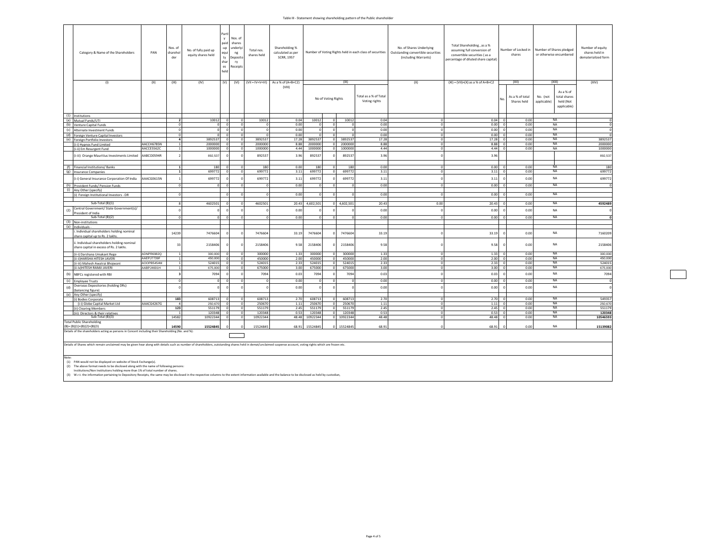## Table III - Statement showing shareholding pattern of the Public shareholder

| Category & Name of the Shareholders                                                                                                                                                                            | PAN        | Nos. of<br>shareho<br>der | No. of fully paid up<br>equity shares held | Part<br>naid<br>-up<br>equi<br>ty<br>shar<br>es<br>held | Nos. of<br>shares<br>underly<br>ng<br>Deposito<br>ry<br>Receipts | Total nos.<br>shares held | Shareholding %<br>calculated as per<br>SCRR, 1957 |                    |                     |           | Number of Voting Rights held in each class of securities | No. of Shares Underlying<br>Outstanding convertible securities<br>(including Warrants) | Total Shareholding, as a %<br>assuming full conversion of<br>convertible securities (as a<br>percentage of diluted share capital) |              | Number of Locked in<br>shares  | Number of Shares pledged<br>or otherwise encumbered                              | Number of equity<br>shares held in<br>dematerialized form |
|----------------------------------------------------------------------------------------------------------------------------------------------------------------------------------------------------------------|------------|---------------------------|--------------------------------------------|---------------------------------------------------------|------------------------------------------------------------------|---------------------------|---------------------------------------------------|--------------------|---------------------|-----------|----------------------------------------------------------|----------------------------------------------------------------------------------------|-----------------------------------------------------------------------------------------------------------------------------------|--------------|--------------------------------|----------------------------------------------------------------------------------|-----------------------------------------------------------|
| (1)                                                                                                                                                                                                            | (II)       | (III)                     | (IV)                                       | (V)                                                     | (VI)                                                             | $(VII = IV+V+VI)$         | As a % of (A+B+C2)                                |                    |                     | (IX)      |                                                          | (X)                                                                                    | $(XI) = (VII)+(X)$ as a % of A+B+C2                                                                                               |              | (XII)                          | (XIII)                                                                           | (XIV)                                                     |
| (1) Institutions                                                                                                                                                                                               |            |                           |                                            |                                                         |                                                                  |                           | (VIII)                                            |                    | No of Voting Rights |           | Total as a % of Total<br>Voting rights                   |                                                                                        |                                                                                                                                   | No           | As a % of total<br>Shares held | As a % of<br>total shares<br>No. (not<br>applicable)<br>held (Not<br>applicable) |                                                           |
| (a) Mutual Funds/UTI                                                                                                                                                                                           |            |                           | 10012                                      | $\Omega$                                                | $\circ$                                                          | 10012                     | 0.04                                              | 10012              |                     | 10012     | 0.04                                                     | $\Omega$                                                                               | 0.04                                                                                                                              | $\Omega$     | 0.00                           | <b>NA</b>                                                                        | $\Omega$                                                  |
| (b) Venture Capital Funds                                                                                                                                                                                      |            |                           | $\circ$                                    | $\Omega$                                                | $^{\circ}$                                                       |                           | 0.00                                              |                    |                     |           | 0.00                                                     | $\Omega$                                                                               | 0.00                                                                                                                              | $\Omega$     | 0.00                           | NA                                                                               | $\Omega$                                                  |
| (c) Alternate Investment Funds                                                                                                                                                                                 |            |                           | $\circ$                                    | $\Omega$                                                | $\circ$                                                          | $^{\circ}$                | 0.00                                              |                    |                     |           | 0.00                                                     | $^{\circ}$                                                                             | 0.00                                                                                                                              | $\Omega$     | 0.00                           | <b>NA</b>                                                                        | $\Omega$                                                  |
|                                                                                                                                                                                                                |            |                           | $\overline{0}$                             |                                                         | $\Omega$                                                         | $\Omega$                  | 0.00                                              |                    |                     |           | 0.00                                                     | $\overline{0}$                                                                         | 0.00                                                                                                                              | $\Omega$     | 0.00                           | <b>NA</b>                                                                        |                                                           |
| (d) Foreign Venture Capital Investors                                                                                                                                                                          |            |                           | 3892537                                    |                                                         | $\mathbf 0$                                                      | 3892537                   | 17.28                                             | 3892537            |                     | 3892537   | 17.28                                                    | o                                                                                      | 17.28                                                                                                                             | $\Omega$     | 0.00                           | <b>NA</b>                                                                        | 3892537                                                   |
| (e) Foreign Portfolio Investors<br>(i-i) Hypnos Fund Limited                                                                                                                                                   | AACCH6785N |                           | 2000000                                    |                                                         | $\mathbf 0$                                                      | 2000000                   | 8.88                                              | 2000000            |                     | 2000000   | 8.88                                                     | $\Omega$                                                                               | 8.88                                                                                                                              |              | 0.00                           | NA                                                                               | 2000000                                                   |
| (i-ii) Em Resurgent Fund                                                                                                                                                                                       | AACCE5562C |                           | 1000000                                    | $\Omega$                                                | $\mathbf 0$                                                      | 1000000                   | 4.44                                              | 1000000            |                     | 1000000   | 4.44                                                     | $\Omega$                                                                               | 4.44                                                                                                                              | $\Omega$     | 0.00                           | <b>NA</b>                                                                        | 1000000                                                   |
|                                                                                                                                                                                                                |            |                           |                                            |                                                         |                                                                  |                           |                                                   |                    |                     |           |                                                          |                                                                                        |                                                                                                                                   |              |                                |                                                                                  |                                                           |
| (i-iii) Orange Mauritius Investments Limited                                                                                                                                                                   | AABCO0594R |                           | 892,537                                    |                                                         | $\Omega$                                                         | 892537                    | 3.96                                              | 892537             |                     | 892537    | 3.96                                                     |                                                                                        | 3.96                                                                                                                              |              |                                |                                                                                  | 892,537                                                   |
| (f) Financial Institutions/ Banks                                                                                                                                                                              |            |                           | 180                                        |                                                         | $\mathbf 0$                                                      | 180                       | 0.00                                              | 180                |                     | 180       | 0.00                                                     | $\Omega$                                                                               | 0.00                                                                                                                              |              | 0.00                           | <b>NA</b>                                                                        | 180                                                       |
| (g) Insurance Companies                                                                                                                                                                                        |            |                           | 699772                                     |                                                         | $\overline{0}$                                                   | 699772                    | 3.11                                              | 699772             |                     | 699772    | 3.11                                                     | $\overline{ }$                                                                         | 3.11                                                                                                                              | $\Omega$     | 0.00                           | <b>NA</b>                                                                        | 699772                                                    |
|                                                                                                                                                                                                                |            |                           |                                            |                                                         |                                                                  |                           |                                                   |                    |                     |           |                                                          |                                                                                        |                                                                                                                                   |              |                                |                                                                                  |                                                           |
| (i-i) General Insurance Corporation Of India                                                                                                                                                                   | AAACG0615N |                           | 699772<br>$\circ$                          | $\Omega$                                                | $\circ$                                                          | 699772                    | 3.11<br>0.00                                      | 699772<br>$\Omega$ |                     | 699772    | 3.11<br>0.00                                             | $\Omega$                                                                               | 3.11<br>0.00                                                                                                                      |              | 0.00<br>0.00                   | NA<br><b>NA</b>                                                                  | 699772                                                    |
| (h) Provident Funds/ Pension Funds<br>(i) Any Other (specify)                                                                                                                                                  |            |                           |                                            |                                                         |                                                                  |                           |                                                   |                    |                     |           |                                                          |                                                                                        |                                                                                                                                   |              |                                |                                                                                  |                                                           |
| (i) Foreign Institutional Investors - DR                                                                                                                                                                       |            |                           |                                            |                                                         | $\Omega$                                                         | $\Omega$                  | 0.00                                              |                    |                     |           | 0.00                                                     | $\Omega$                                                                               | 0.00                                                                                                                              |              | 0.00                           | NA                                                                               |                                                           |
|                                                                                                                                                                                                                |            |                           |                                            |                                                         |                                                                  |                           |                                                   |                    |                     |           |                                                          |                                                                                        |                                                                                                                                   |              |                                |                                                                                  |                                                           |
| Sub-Total (B)(1)                                                                                                                                                                                               |            |                           | 4602501                                    |                                                         | $\Omega$                                                         | 4602501                   | 20.43                                             | 4,602,501          |                     | 4,602,501 | 20.43                                                    | 0.00                                                                                   | 20.43                                                                                                                             |              | 0.00                           | NA                                                                               | 4592489                                                   |
| Central Government/ State Government(s)/<br>(2)                                                                                                                                                                |            |                           |                                            |                                                         |                                                                  |                           | 0.00                                              |                    |                     |           | 0.00                                                     | $\Omega$                                                                               | 0.00                                                                                                                              | $\Omega$     | 0.00                           | NA                                                                               | $\Omega$                                                  |
| President of India                                                                                                                                                                                             |            |                           |                                            |                                                         |                                                                  |                           |                                                   |                    |                     |           |                                                          |                                                                                        |                                                                                                                                   |              |                                |                                                                                  |                                                           |
| Sub-Total (B)(2)                                                                                                                                                                                               |            |                           | $\circ$                                    | $\Omega$                                                | $\circ$                                                          | $\Omega$                  | 0.00                                              | $\Omega$           | $\Omega$            |           | 0.00                                                     | $\Omega$                                                                               | 0.00                                                                                                                              | $\Omega$     | 0.00                           | NA                                                                               | $\Omega$                                                  |
| (3) Non-institutions                                                                                                                                                                                           |            |                           |                                            |                                                         |                                                                  |                           |                                                   |                    |                     |           |                                                          |                                                                                        |                                                                                                                                   |              |                                |                                                                                  |                                                           |
| (a) Individuals -                                                                                                                                                                                              |            |                           |                                            |                                                         |                                                                  |                           |                                                   |                    |                     |           |                                                          |                                                                                        |                                                                                                                                   |              |                                |                                                                                  |                                                           |
| i. Individual shareholders holding nominal<br>share capital up to Rs. 2 lakhs.                                                                                                                                 |            | 14239                     | 7476604                                    |                                                         | $\Omega$                                                         | 7476604                   | 33.19                                             | 7476604            |                     | 7476604   | 33.19                                                    |                                                                                        | 33.19                                                                                                                             |              | 0.00                           | NA                                                                               | 7160209                                                   |
| ii. Individual shareholders holding nominal<br>share capital in excess of Rs. 2 lakhs.                                                                                                                         |            | 33                        | 2158406                                    |                                                         |                                                                  | 2158406                   | 9.58                                              | 2158406            |                     | 2158406   | 9.58                                                     |                                                                                        | 9.58                                                                                                                              | $\Omega$     | 0.00                           | NA                                                                               | 2158406                                                   |
| (ii-i) Darshana Umakant Rege                                                                                                                                                                                   | ADNPR6982Q |                           | 300,000                                    | $\Omega$                                                | $\circ$                                                          | 300000                    | 1.33                                              | 300000             |                     | 300000    | 1.33                                                     | $\Omega$                                                                               | 1.33                                                                                                                              |              | 0.00                           | NA                                                                               | 300,000                                                   |
| (ii-ii) HARSHA HITESH JAVERI                                                                                                                                                                                   | AAEPJ7739F | -1                        | 450,000                                    | $\Omega$                                                | ō                                                                | 450000                    | 2.00                                              | 450000             |                     | 450000    | 2.00                                                     | $\overline{0}$                                                                         | 2.00                                                                                                                              |              | 0.00                           | <b>NA</b>                                                                        | 450,000                                                   |
| (ii-iii) Mahesh Awatrai Bhojwani                                                                                                                                                                               | AOOPB5454M |                           | 524015                                     |                                                         | $\circ$                                                          | 524015                    | 2.33                                              | 524015             |                     | 524015    | 2.33                                                     | $\circ$                                                                                | 2.33                                                                                                                              | $\Omega$     | 0.00                           | NA                                                                               | 524015                                                    |
| (ii-iv)HITESH RAMJI JAVERI                                                                                                                                                                                     | AABPJ4691H |                           | 675,000                                    |                                                         | $\Omega$                                                         | 675000                    | 3.00                                              | 675000             |                     | 675000    | 3.00                                                     | $\Omega$                                                                               | 3.00                                                                                                                              | $\Omega$     | 0.00                           | <b>NA</b>                                                                        | 675,000                                                   |
| (b)<br>NBFCs registered with RBI                                                                                                                                                                               |            |                           | 7094                                       |                                                         | $\Omega$                                                         | 7094                      | 0.03                                              | 7094               |                     | 7094      | 0.03                                                     | $\Omega$                                                                               | 0.03                                                                                                                              | $\mathbf{0}$ | 0.00                           | NA                                                                               | 7094                                                      |
| (c) Employee Trusts                                                                                                                                                                                            |            |                           | $\circ$                                    |                                                         | $\Omega$                                                         |                           | 0.00                                              |                    |                     |           | 0.00                                                     | $\Omega$                                                                               | 0.00                                                                                                                              | $\Omega$     | 0.00                           | NA                                                                               |                                                           |
| Overseas Depositories (holding DRs)<br>(d)                                                                                                                                                                     |            |                           | $\Omega$                                   |                                                         |                                                                  |                           | 0.00                                              |                    |                     |           | 0.00                                                     |                                                                                        | 0.00                                                                                                                              | $\Omega$     | 0.00                           | NA                                                                               | $\Omega$                                                  |
| (balancing figure)                                                                                                                                                                                             |            |                           |                                            |                                                         |                                                                  |                           |                                                   |                    |                     |           |                                                          |                                                                                        |                                                                                                                                   |              |                                |                                                                                  |                                                           |
| (e) Any Other (specify)<br>(i) Bodies Corporate                                                                                                                                                                |            | 183                       | 608713                                     |                                                         | $^{\circ}$                                                       | 608713                    | 2.70                                              | 608713             |                     | 608713    | 2.70                                                     | $\Omega$                                                                               | 2.70                                                                                                                              |              | 0.00                           | NA                                                                               | 549357                                                    |
| (i-i) Globe Capital Market Ltd                                                                                                                                                                                 | AAACG4267G |                           | 250,670                                    | $\Omega$                                                | $\circ$                                                          | 250670                    | 1.11                                              | 250670             |                     | 250670    | 1.11                                                     | $\Omega$                                                                               | 1.11                                                                                                                              | $\Omega$     | 0.00                           | <b>NA</b>                                                                        | 250,670                                                   |
| (ii) Clearing Members                                                                                                                                                                                          |            | 123                       | 551179                                     | $\Omega$                                                | $^{\circ}$                                                       | 551179                    | 2.45                                              | 551179             |                     | 551179    | 2.45                                                     | $\Omega$                                                                               | 2.45                                                                                                                              | $\Omega$     | 0.00                           | <b>NA</b>                                                                        | 551179                                                    |
| (iii) Directors & their relatives                                                                                                                                                                              |            |                           | 120348                                     |                                                         | $\mathbf 0$                                                      | 120348                    | 0.53                                              | 120348             |                     | 120348    | 0.53                                                     | $\mathbf{0}$                                                                           | 0.53                                                                                                                              | $\Omega$     | 0.00                           | <b>NA</b>                                                                        | 120348                                                    |
| Sub-Total (B)(3)                                                                                                                                                                                               |            | 14582                     | 10922344                                   | $\Omega$                                                | $\Omega$                                                         | 10922344                  | 48.48                                             | 10922344           |                     | 10922344  | 48.48                                                    | $\overline{0}$                                                                         | 48.48                                                                                                                             | $\Omega$     | 0.00                           | NA                                                                               | 10546593                                                  |
| <b>Total Public Shareholding</b><br>$(B) = (B)(1)+(B)(2)+(B)(3)$                                                                                                                                               |            | 14590                     | 15524845                                   |                                                         | $\Omega$                                                         | 15524845                  | 68.91                                             | 15524845           |                     | 15524845  | 68.91                                                    | $\Omega$                                                                               | 68.91                                                                                                                             |              | 0.00                           | NA                                                                               | 15139082                                                  |
| Details of the shareholders acting as persons in Concert including their Shareholding (No. and %):                                                                                                             |            |                           |                                            |                                                         |                                                                  |                           |                                                   |                    |                     |           |                                                          |                                                                                        |                                                                                                                                   |              |                                |                                                                                  |                                                           |
|                                                                                                                                                                                                                |            |                           |                                            |                                                         |                                                                  |                           |                                                   |                    |                     |           |                                                          |                                                                                        |                                                                                                                                   |              |                                |                                                                                  |                                                           |
| Details of Shares which remain unclaimed may be given hear along with details such as number of shareholders, outstanding shares held in demat/unclaimed suspense account, voting rights which are frozen etc. |            |                           |                                            |                                                         |                                                                  |                           |                                                   |                    |                     |           |                                                          |                                                                                        |                                                                                                                                   |              |                                |                                                                                  |                                                           |

Note:<br>(2) PAN would not be displayed on website of Stock Exchange(s).<br>(2) The above format needs to be disclosed along with the name of following persons:<br>(3) W.r.t. the information pertaining to Depository Receipts, the s